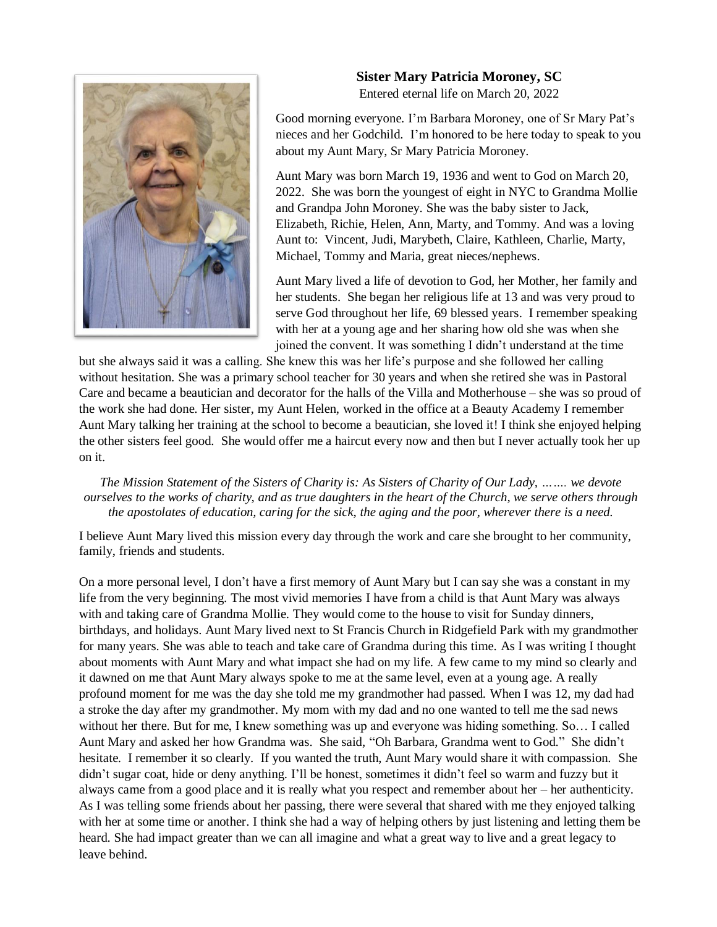

## **Sister Mary Patricia Moroney, SC**

Entered eternal life on March 20, 2022

Good morning everyone. I'm Barbara Moroney, one of Sr Mary Pat's nieces and her Godchild. I'm honored to be here today to speak to you about my Aunt Mary, Sr Mary Patricia Moroney.

Aunt Mary was born March 19, 1936 and went to God on March 20, 2022. She was born the youngest of eight in NYC to Grandma Mollie and Grandpa John Moroney. She was the baby sister to Jack, Elizabeth, Richie, Helen, Ann, Marty, and Tommy. And was a loving Aunt to: Vincent, Judi, Marybeth, Claire, Kathleen, Charlie, Marty, Michael, Tommy and Maria, great nieces/nephews.

Aunt Mary lived a life of devotion to God, her Mother, her family and her students. She began her religious life at 13 and was very proud to serve God throughout her life, 69 blessed years. I remember speaking with her at a young age and her sharing how old she was when she joined the convent. It was something I didn't understand at the time

but she always said it was a calling. She knew this was her life's purpose and she followed her calling without hesitation. She was a primary school teacher for 30 years and when she retired she was in Pastoral Care and became a beautician and decorator for the halls of the Villa and Motherhouse – she was so proud of the work she had done. Her sister, my Aunt Helen, worked in the office at a Beauty Academy I remember Aunt Mary talking her training at the school to become a beautician, she loved it! I think she enjoyed helping the other sisters feel good. She would offer me a haircut every now and then but I never actually took her up on it.

*The Mission Statement of the Sisters of Charity is: As Sisters of Charity of Our Lady, ……. we devote ourselves to the works of charity, and as true daughters in the heart of the Church, we serve others through the apostolates of education, caring for the sick, the aging and the poor, wherever there is a need.*

I believe Aunt Mary lived this mission every day through the work and care she brought to her community, family, friends and students.

On a more personal level, I don't have a first memory of Aunt Mary but I can say she was a constant in my life from the very beginning. The most vivid memories I have from a child is that Aunt Mary was always with and taking care of Grandma Mollie. They would come to the house to visit for Sunday dinners, birthdays, and holidays. Aunt Mary lived next to St Francis Church in Ridgefield Park with my grandmother for many years. She was able to teach and take care of Grandma during this time. As I was writing I thought about moments with Aunt Mary and what impact she had on my life. A few came to my mind so clearly and it dawned on me that Aunt Mary always spoke to me at the same level, even at a young age. A really profound moment for me was the day she told me my grandmother had passed. When I was 12, my dad had a stroke the day after my grandmother. My mom with my dad and no one wanted to tell me the sad news without her there. But for me, I knew something was up and everyone was hiding something. So... I called Aunt Mary and asked her how Grandma was. She said, "Oh Barbara, Grandma went to God." She didn't hesitate. I remember it so clearly. If you wanted the truth, Aunt Mary would share it with compassion. She didn't sugar coat, hide or deny anything. I'll be honest, sometimes it didn't feel so warm and fuzzy but it always came from a good place and it is really what you respect and remember about her – her authenticity. As I was telling some friends about her passing, there were several that shared with me they enjoyed talking with her at some time or another. I think she had a way of helping others by just listening and letting them be heard. She had impact greater than we can all imagine and what a great way to live and a great legacy to leave behind.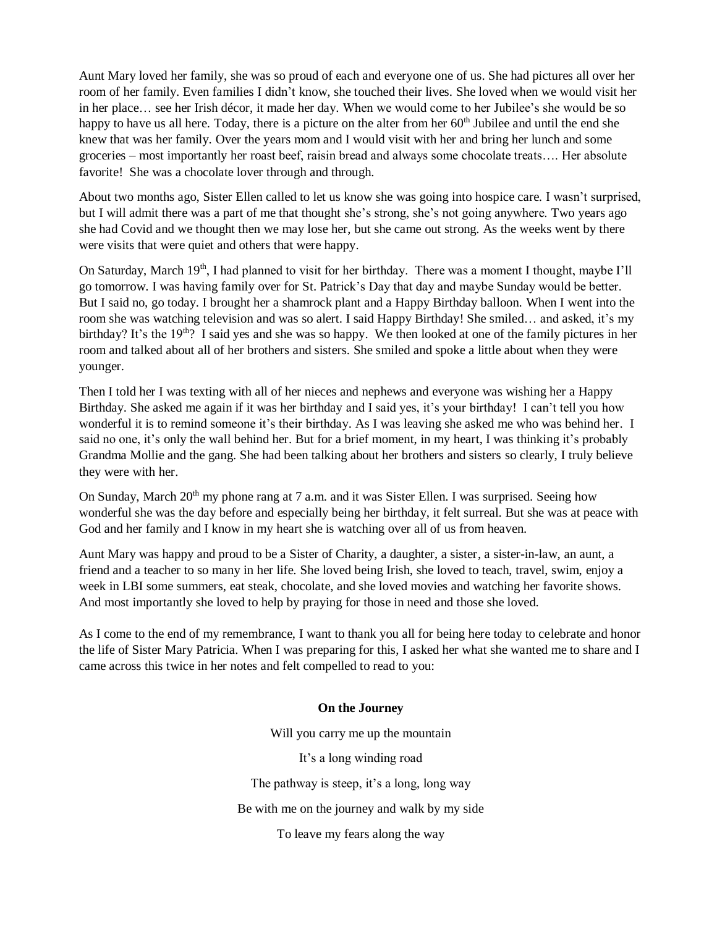Aunt Mary loved her family, she was so proud of each and everyone one of us. She had pictures all over her room of her family. Even families I didn't know, she touched their lives. She loved when we would visit her in her place… see her Irish décor, it made her day. When we would come to her Jubilee's she would be so happy to have us all here. Today, there is a picture on the alter from her  $60<sup>th</sup>$  Jubilee and until the end she knew that was her family. Over the years mom and I would visit with her and bring her lunch and some groceries – most importantly her roast beef, raisin bread and always some chocolate treats…. Her absolute favorite! She was a chocolate lover through and through.

About two months ago, Sister Ellen called to let us know she was going into hospice care. I wasn't surprised, but I will admit there was a part of me that thought she's strong, she's not going anywhere. Two years ago she had Covid and we thought then we may lose her, but she came out strong. As the weeks went by there were visits that were quiet and others that were happy.

On Saturday, March 19<sup>th</sup>, I had planned to visit for her birthday. There was a moment I thought, maybe I'll go tomorrow. I was having family over for St. Patrick's Day that day and maybe Sunday would be better. But I said no, go today. I brought her a shamrock plant and a Happy Birthday balloon. When I went into the room she was watching television and was so alert. I said Happy Birthday! She smiled… and asked, it's my birthday? It's the 19<sup>th</sup>? I said yes and she was so happy. We then looked at one of the family pictures in her room and talked about all of her brothers and sisters. She smiled and spoke a little about when they were younger.

Then I told her I was texting with all of her nieces and nephews and everyone was wishing her a Happy Birthday. She asked me again if it was her birthday and I said yes, it's your birthday! I can't tell you how wonderful it is to remind someone it's their birthday. As I was leaving she asked me who was behind her. I said no one, it's only the wall behind her. But for a brief moment, in my heart, I was thinking it's probably Grandma Mollie and the gang. She had been talking about her brothers and sisters so clearly, I truly believe they were with her.

On Sunday, March  $20<sup>th</sup>$  my phone rang at 7 a.m. and it was Sister Ellen. I was surprised. Seeing how wonderful she was the day before and especially being her birthday, it felt surreal. But she was at peace with God and her family and I know in my heart she is watching over all of us from heaven.

Aunt Mary was happy and proud to be a Sister of Charity, a daughter, a sister, a sister-in-law, an aunt, a friend and a teacher to so many in her life. She loved being Irish, she loved to teach, travel, swim, enjoy a week in LBI some summers, eat steak, chocolate, and she loved movies and watching her favorite shows. And most importantly she loved to help by praying for those in need and those she loved.

As I come to the end of my remembrance, I want to thank you all for being here today to celebrate and honor the life of Sister Mary Patricia. When I was preparing for this, I asked her what she wanted me to share and I came across this twice in her notes and felt compelled to read to you:

## **On the Journey**

Will you carry me up the mountain It's a long winding road The pathway is steep, it's a long, long way Be with me on the journey and walk by my side To leave my fears along the way